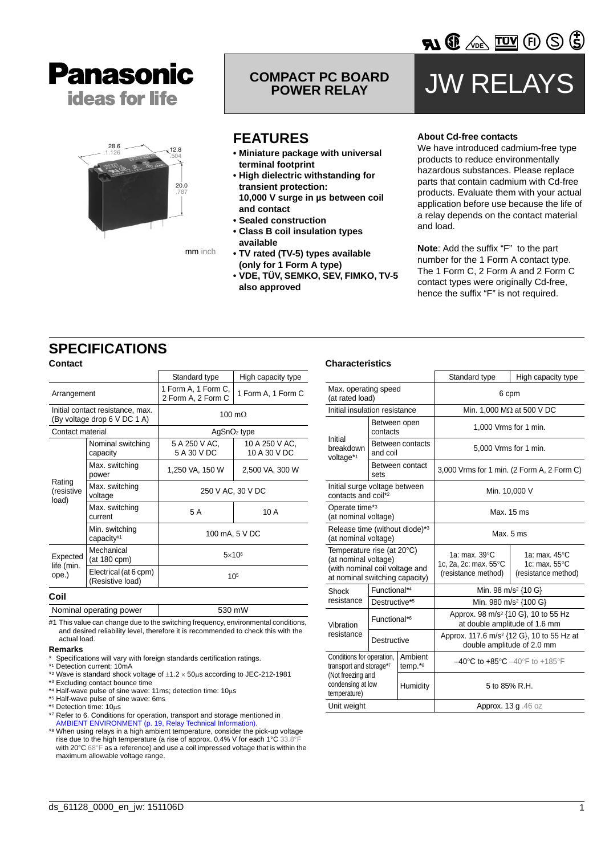



**COMPACT PC BOARD** 

### **FEATURES**

- **Miniature package with universal terminal footprint**
- **High dielectric withstanding for transient protection: 10,000 V surge in µs between coil**
- **and contact**
- **Sealed construction**
- **Class B coil insulation types available**
- **TV rated (TV-5) types available (only for 1 Form A type)**
- **VDE, TÜV, SEMKO, SEV, FIMKO, TV-5 also approved**

# **JW RELAY**

**VDE** VOE TO ED

) (5)

#### **About Cd-free contacts**

We have introduced cadmium-free type products to reduce environmentally hazardous substances. Please replace parts that contain cadmium with Cd-free products. Evaluate them with your actual application before use because the life of a relay depends on the contact material and load.

**Note**: Add the suffix "F" to the part number for the 1 Form A contact type. The 1 Form C, 2 Form A and 2 Form C contact types were originally Cd-free, hence the suffix "F" is not required.

### **SPECIFICATIONS**

| <b>Contact</b>                                                   |                                           |                                           |                                |  |  |
|------------------------------------------------------------------|-------------------------------------------|-------------------------------------------|--------------------------------|--|--|
|                                                                  |                                           | Standard type                             | High capacity type             |  |  |
| Arrangement                                                      |                                           | 1 Form A, 1 Form C,<br>2 Form A, 2 Form C | 1 Form A, 1 Form C             |  |  |
| Initial contact resistance, max.<br>(By voltage drop 6 V DC 1 A) |                                           | 100 m $\Omega$                            |                                |  |  |
| Contact material                                                 |                                           | $AgSnO2$ type                             |                                |  |  |
| Rating<br>(resistive<br>load)                                    | Nominal switching<br>capacity             | 5 A 250 V AC,<br>5 A 30 V DC              | 10 A 250 V AC,<br>10 A 30 V DC |  |  |
|                                                                  | Max. switching<br>power                   | 1,250 VA, 150 W                           | 2,500 VA, 300 W                |  |  |
|                                                                  | Max. switching<br>voltage                 | 250 V AC, 30 V DC                         |                                |  |  |
|                                                                  | Max. switching<br>current                 | 5 A                                       | 10 A                           |  |  |
|                                                                  | Min. switching<br>capacity#1              | 100 mA, 5 V DC                            |                                |  |  |
| Expected<br>life (min.<br>ope.)                                  | Mechanical<br>(at 180 cpm)                | $5\times10^6$                             |                                |  |  |
|                                                                  | Electrical (at 6 cpm)<br>(Resistive load) | $10^{5}$                                  |                                |  |  |

#### **Coil**

Nominal operating power 530 mW

#1 This value can change due to the switching frequency, environmental conditions, and desired reliability level, therefore it is recommended to check this with the actual load.

#### **Remarks**

- Specifications will vary with foreign standards certification ratings.
- \*1 Detection current: 10mA
- \*2 Wave is standard shock voltage of ±1.2 × 50μs according to JEC-212-1981
- \*3 Excluding contact bounce time
- \*4 Half-wave pulse of sine wave: 11ms; detection time: 10μs \*5 Half-wave pulse of sine wave: 6ms
- \*6 Detection time: 10μs
- 
- \*7 Refer to 6. Conditions for operation, transport and storage mentioned in [AMBIENT ENVIRONMENT \(p. 19, Relay Technical Info](http://www.panasonic-electric-works.com/peweu/en/downloads/ds_x61_en_relay_technical_information.pdf)rmation).
- \*8 When using relays in a high ambient temperature, consider the pick-up voltage rise due to the high temperature (a rise of approx. 0.4% V for each 1°C 33.8° with 20°C 68°F as a reference) and use a coil impressed voltage that is within the maximum allowable voltage range.

#### **Characteristics**

|                                                                                                                        |                          |                                                               | Standard type                                                                       | High capacity type              |  |
|------------------------------------------------------------------------------------------------------------------------|--------------------------|---------------------------------------------------------------|-------------------------------------------------------------------------------------|---------------------------------|--|
| Max. operating speed<br>(at rated load)                                                                                |                          |                                                               | 6 cpm                                                                               |                                 |  |
| Initial insulation resistance                                                                                          |                          |                                                               | Min. 1,000 MΩ at 500 V DC                                                           |                                 |  |
|                                                                                                                        | Between open<br>contacts |                                                               | 1,000 Vrms for 1 min.                                                               |                                 |  |
| Initial<br>breakdown<br>voltage*1                                                                                      | and coil                 | Between contacts                                              | 5,000 Vrms for 1 min.                                                               |                                 |  |
|                                                                                                                        | sets                     | Between contact                                               | 3,000 Vrms for 1 min. (2 Form A, 2 Form C)                                          |                                 |  |
| Initial surge voltage between<br>contacts and coil* <sup>2</sup>                                                       |                          | Min. 10,000 V                                                 |                                                                                     |                                 |  |
| Operate time*3<br>(at nominal voltage)                                                                                 |                          |                                                               | Max. 15 ms                                                                          |                                 |  |
| Release time (without diode)*3<br>(at nominal voltage)                                                                 |                          |                                                               | Max. 5 ms                                                                           |                                 |  |
| Temperature rise (at 20°C)<br>(at nominal voltage)<br>(with nominal coil voltage and<br>at nominal switching capacity) |                          | 1a: max. 39°C<br>1c, 2a, 2c: max. 55°C<br>(resistance method) | 1a: max. $45^{\circ}$ C<br>1c: max. $55^{\circ}$ C<br>(resistance method)           |                                 |  |
| Shock                                                                                                                  | Functional*4             |                                                               |                                                                                     | Min. 98 m/s <sup>2</sup> {10 G} |  |
| resistance                                                                                                             | Destructive*5            |                                                               | Min. 980 m/s <sup>2</sup> {100 G}                                                   |                                 |  |
| Vibration                                                                                                              | Functional* <sup>6</sup> |                                                               | Approx. 98 m/s <sup>2</sup> {10 G}, 10 to 55 Hz<br>at double amplitude of 1.6 mm    |                                 |  |
| resistance                                                                                                             | Destructive              |                                                               | Approx. 117.6 m/s <sup>2</sup> {12 G}, 10 to 55 Hz at<br>double amplitude of 2.0 mm |                                 |  |
| Conditions for operation,<br>transport and storage*7                                                                   |                          | Ambient<br>$temp.*8$                                          | $-40^{\circ}$ C to $+85^{\circ}$ C $-40^{\circ}$ F to $+185^{\circ}$ F              |                                 |  |
| (Not freezing and<br>condensing at low<br>temperature)                                                                 |                          | Humidity                                                      | 5 to 85% R.H.                                                                       |                                 |  |
| Unit weight                                                                                                            |                          | Approx. 13 g .46 oz                                           |                                                                                     |                                 |  |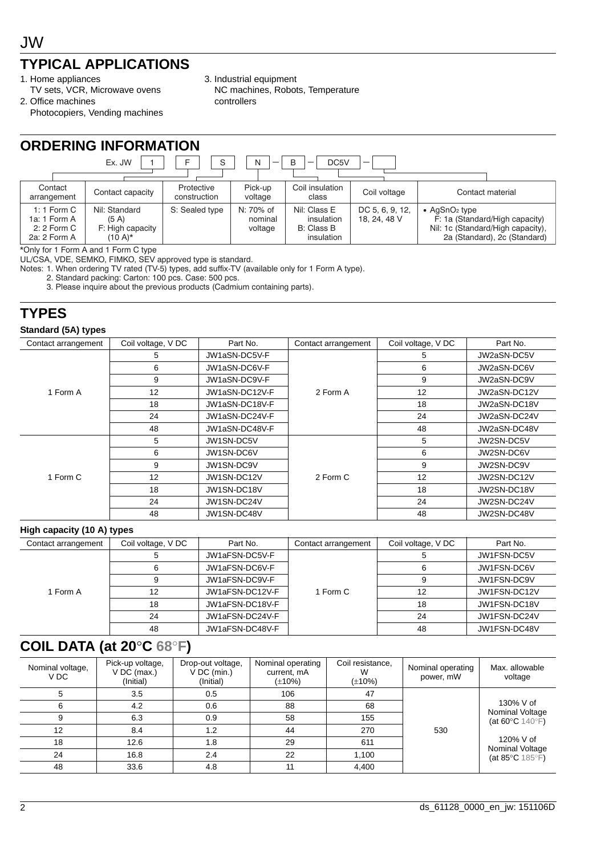## **TYPICAL APPLICATIONS**

- 1. Home appliances
- TV sets, VCR, Microwave ovens
- 2. Office machines Photocopiers, Vending machines
- 3. Industrial equipment NC machines, Robots, Temperature controllers

| <b>ORDERING INFORMATION</b>                                                                |                                                                  |                            |                                 |                                                               |                                 |                                                                                                                                          |  |  |  |
|--------------------------------------------------------------------------------------------|------------------------------------------------------------------|----------------------------|---------------------------------|---------------------------------------------------------------|---------------------------------|------------------------------------------------------------------------------------------------------------------------------------------|--|--|--|
| B<br>F<br>Ex. JW<br>S<br>N<br>DC <sub>5</sub> V<br>$\overline{\phantom{0}}$<br>-<br>$\sim$ |                                                                  |                            |                                 |                                                               |                                 |                                                                                                                                          |  |  |  |
|                                                                                            |                                                                  |                            |                                 |                                                               |                                 |                                                                                                                                          |  |  |  |
| Contact<br>arrangement                                                                     | Contact capacity                                                 | Protective<br>construction | Pick-up<br>voltage              | Coil insulation<br>class                                      | Coil voltage                    | Contact material                                                                                                                         |  |  |  |
| 1: 1 Form $C$<br>1a: 1 Form A<br>2: 2 Form C<br>2a: 2 Form A                               | Nil: Standard<br>(5 A)<br>F: High capacity<br>$(10 \text{ A})^*$ | S: Sealed type             | N: 70% of<br>nominal<br>voltage | Nil: Class E<br>insulation<br><b>B:</b> Class B<br>insulation | DC 5, 6, 9, 12,<br>18, 24, 48 V | $\bullet$ AgSnO <sub>2</sub> type<br>F: 1a (Standard/High capacity)<br>Nil: 1c (Standard/High capacity),<br>2a (Standard), 2c (Standard) |  |  |  |

\*Only for 1 Form A and 1 Form C type

UL/CSA, VDE, SEMKO, FIMKO, SEV approved type is standard.

Notes: 1. When ordering TV rated (TV-5) types, add suffix-TV (available only for 1 Form A type).

2. Standard packing: Carton: 100 pcs. Case: 500 pcs.

3. Please inquire about the previous products (Cadmium containing parts).

### **TYPES**

#### **Standard (5A) types**

| Contact arrangement | Coil voltage, V DC | Part No.                                                                                        | Contact arrangement | Coil voltage, V DC | Part No.     |
|---------------------|--------------------|-------------------------------------------------------------------------------------------------|---------------------|--------------------|--------------|
|                     | 5                  | JW1aSN-DC5V-F                                                                                   |                     | 5                  | JW2aSN-DC5V  |
|                     | 6                  | JW1aSN-DC6V-F                                                                                   |                     | 6                  | JW2aSN-DC6V  |
|                     | 9                  | JW1aSN-DC9V-F                                                                                   |                     | 9                  | JW2aSN-DC9V  |
| 1 Form A            | 12                 | JW1aSN-DC12V-F                                                                                  | 2 Form A            | 12                 | JW2aSN-DC12V |
|                     | 18                 | JW1aSN-DC18V-F                                                                                  |                     | 18                 | JW2aSN-DC18V |
|                     | 24                 | JW1aSN-DC24V-F                                                                                  |                     | 24                 | JW2aSN-DC24V |
|                     | 48                 | JW1aSN-DC48V-F                                                                                  |                     | 48                 | JW2aSN-DC48V |
|                     | 5                  | JW1SN-DC5V<br>JW1SN-DC6V<br>JW1SN-DC9V<br>JW1SN-DC12V<br>2 Form C<br>JW1SN-DC18V<br>JW1SN-DC24V |                     | 5                  | JW2SN-DC5V   |
|                     | 6                  |                                                                                                 |                     | 6                  | JW2SN-DC6V   |
|                     | 9                  |                                                                                                 |                     | 9                  | JW2SN-DC9V   |
| 1 Form C            | 12                 |                                                                                                 |                     | 12                 | JW2SN-DC12V  |
|                     | 18                 |                                                                                                 |                     | 18                 | JW2SN-DC18V  |
|                     | 24                 |                                                                                                 |                     | 24                 | JW2SN-DC24V  |
|                     | 48                 | JW1SN-DC48V                                                                                     |                     | 48                 | JW2SN-DC48V  |

#### **High capacity (10 A) types**

| Contact arrangement | Coil voltage, V DC | Part No.        | Contact arrangement | Coil voltage, V DC | Part No.     |
|---------------------|--------------------|-----------------|---------------------|--------------------|--------------|
| I Form A            |                    | JW1aFSN-DC5V-F  |                     |                    | JW1FSN-DC5V  |
|                     |                    | JW1aFSN-DC6V-F  |                     |                    | JW1FSN-DC6V  |
|                     |                    | JW1aFSN-DC9V-F  |                     |                    | JW1FSN-DC9V  |
|                     | 12                 | JW1aFSN-DC12V-F | 1 Form C            | 12                 | JW1FSN-DC12V |
|                     | 18                 | JW1aFSN-DC18V-F |                     | 18                 | JW1FSN-DC18V |
|                     | 24                 | JW1aFSN-DC24V-F |                     | 24                 | JW1FSN-DC24V |
|                     | 48                 | JW1aFSN-DC48V-F |                     | 48                 | JW1FSN-DC48V |

### **COIL DATA (at 20**°**C 68**°**F)**

| Nominal voltage,<br>V DC | Pick-up voltage,<br>$V$ DC (max.)<br>(Initial) | Drop-out voltage,<br>V DC (min.)<br>(Initial) | Nominal operating<br>current, mA<br>$(\pm 10\%)$ | Coil resistance,<br>W<br>$(\pm 10\%)$ | Nominal operating<br>power, mW | Max. allowable<br>voltage                                                        |
|--------------------------|------------------------------------------------|-----------------------------------------------|--------------------------------------------------|---------------------------------------|--------------------------------|----------------------------------------------------------------------------------|
|                          | 3.5                                            | 0.5                                           | 106                                              | 47                                    |                                | 130% V of<br>Nominal Voltage<br>(at 60 $\degree$ C 140 $\degree$ F)<br>120% V of |
| 6                        | 4.2                                            | 0.6                                           | 88                                               | 68                                    |                                |                                                                                  |
| 9                        | 6.3                                            | 0.9                                           | 58                                               | 155                                   | 530                            |                                                                                  |
| 12                       | 8.4                                            | 1.2                                           | 44                                               | 270                                   |                                |                                                                                  |
| 18                       | 12.6                                           | 1.8                                           | 29                                               | 611                                   |                                |                                                                                  |
| 24                       | 16.8                                           | 2.4                                           | 22                                               | 1.100                                 |                                | Nominal Voltage<br>(at 85 $\degree$ C 185 $\degree$ F)                           |
| 48                       | 33.6                                           | 4.8                                           |                                                  | 4,400                                 |                                |                                                                                  |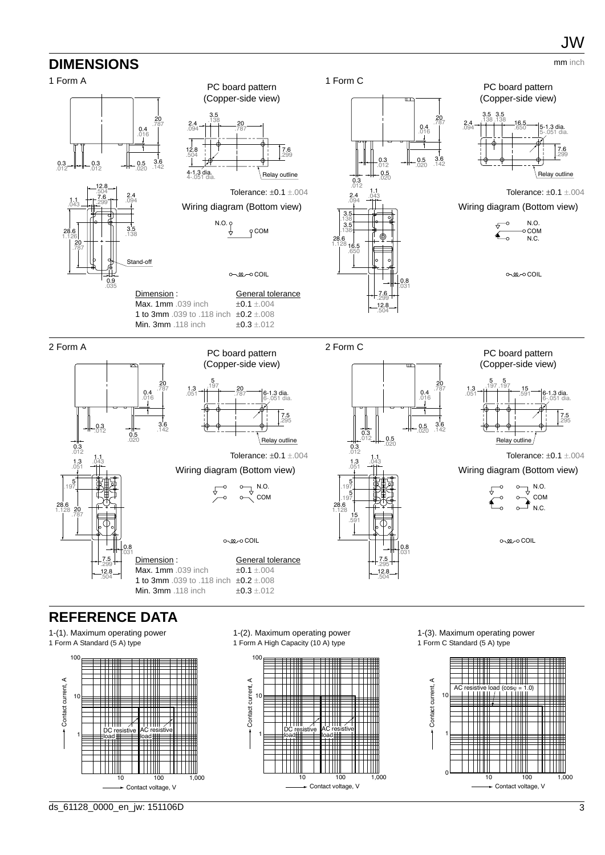

### **REFERENCE DATA**

1-(1). Maximum operating power 1 Form A Standard (5 A) type



1-(2). Maximum operating power 1 Form A High Capacity (10 A) type



1-(3). Maximum operating power 1 Form C Standard (5 A) type

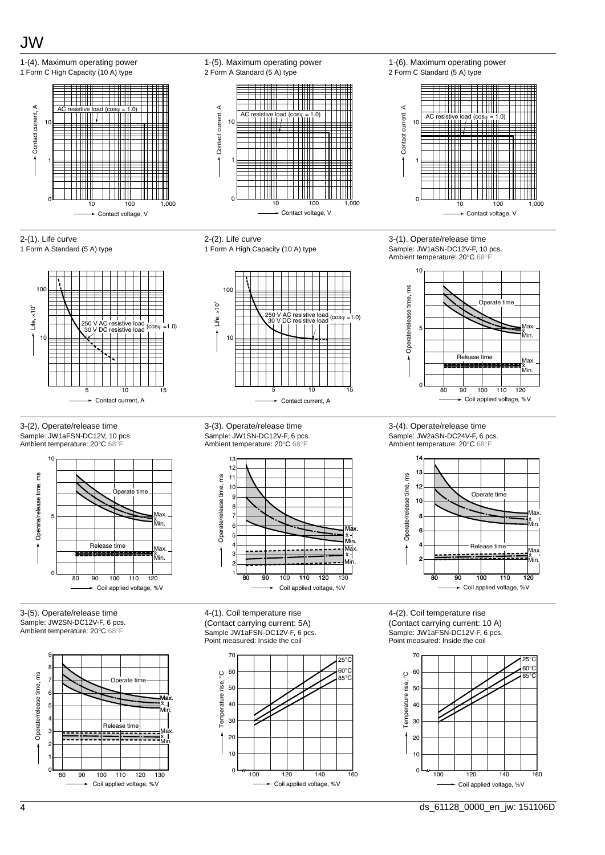